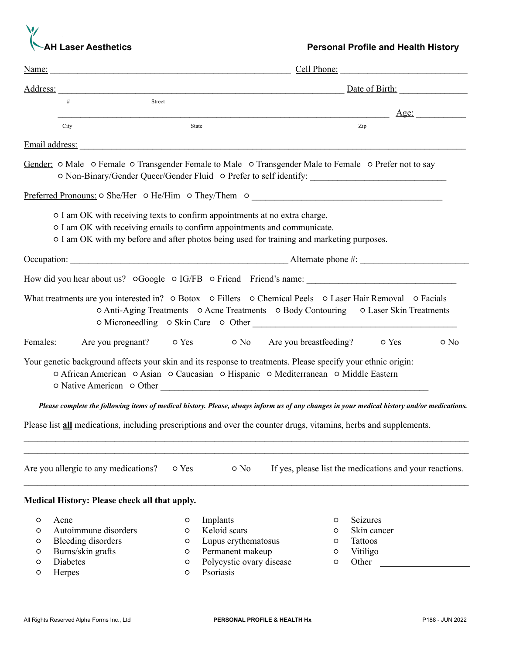

|                            |                                                                                                                                                                                                                                                     |                            | Cell Phone:                                                                                                  |  |                             |                                                                                                                                             |  |  |
|----------------------------|-----------------------------------------------------------------------------------------------------------------------------------------------------------------------------------------------------------------------------------------------------|----------------------------|--------------------------------------------------------------------------------------------------------------|--|-----------------------------|---------------------------------------------------------------------------------------------------------------------------------------------|--|--|
| Address:                   |                                                                                                                                                                                                                                                     |                            | Date of Birth:<br><u> 1988 - Jan Barnett, fransk politik (f. 1988)</u>                                       |  |                             |                                                                                                                                             |  |  |
|                            | #<br>Street                                                                                                                                                                                                                                         |                            |                                                                                                              |  |                             |                                                                                                                                             |  |  |
|                            | City                                                                                                                                                                                                                                                | State                      |                                                                                                              |  |                             | Age:<br>Zip                                                                                                                                 |  |  |
|                            | Email address: The Contract of the Contract of the Contract of the Contract of the Contract of the Contract of the Contract of the Contract of the Contract of the Contract of the Contract of the Contract of the Contract of                      |                            |                                                                                                              |  |                             |                                                                                                                                             |  |  |
|                            | Gender: O Male O Female O Transgender Female to Male O Transgender Male to Female O Prefer not to say                                                                                                                                               |                            |                                                                                                              |  |                             | O Non-Binary/Gender Queer/Gender Fluid O Prefer to self identify: _________________________________                                         |  |  |
|                            | Preferred Pronouns: 0 She/Her 0 He/Him 0 They/Them 0 ____________________________                                                                                                                                                                   |                            |                                                                                                              |  |                             |                                                                                                                                             |  |  |
|                            | o I am OK with receiving texts to confirm appointments at no extra charge.<br>o I am OK with receiving emails to confirm appointments and communicate.<br>o I am OK with my before and after photos being used for training and marketing purposes. |                            |                                                                                                              |  |                             |                                                                                                                                             |  |  |
|                            |                                                                                                                                                                                                                                                     |                            |                                                                                                              |  |                             |                                                                                                                                             |  |  |
|                            |                                                                                                                                                                                                                                                     |                            |                                                                                                              |  |                             |                                                                                                                                             |  |  |
|                            | What treatments are you interested in? o Botox o Fillers o Chemical Peels o Laser Hair Removal o Facials                                                                                                                                            |                            |                                                                                                              |  |                             | ○ Anti-Aging Treatments ○ Acne Treatments ○ Body Contouring ○ Laser Skin Treatments                                                         |  |  |
| Females:                   |                                                                                                                                                                                                                                                     |                            | Are you pregnant? • O Yes • • O No • Are you breastfeeding? • O Yes                                          |  |                             | o No                                                                                                                                        |  |  |
|                            | Your genetic background affects your skin and its response to treatments. Please specify your ethnic origin:<br>o African American o Asian o Caucasian o Hispanic o Mediterranean o Middle Eastern                                                  |                            |                                                                                                              |  |                             |                                                                                                                                             |  |  |
|                            |                                                                                                                                                                                                                                                     |                            |                                                                                                              |  |                             | Please complete the following items of medical history. Please, always inform us of any changes in your medical history and/or medications. |  |  |
|                            | Please list all medications, including prescriptions and over the counter drugs, vitamins, herbs and supplements.                                                                                                                                   |                            |                                                                                                              |  |                             |                                                                                                                                             |  |  |
|                            | Are you allergic to any medications?                                                                                                                                                                                                                | o Yes                      | o No                                                                                                         |  |                             | If yes, please list the medications and your reactions.                                                                                     |  |  |
|                            | Medical History: Please check all that apply.                                                                                                                                                                                                       |                            |                                                                                                              |  |                             |                                                                                                                                             |  |  |
| O<br>O<br>O<br>O<br>O<br>O | Acne<br>Autoimmune disorders<br><b>Bleeding disorders</b><br>Burns/skin grafts<br>Diabetes<br>Herpes                                                                                                                                                | O<br>O<br>O<br>O<br>O<br>O | Implants<br>Keloid scars<br>Lupus erythematosus<br>Permanent makeup<br>Polycystic ovary disease<br>Psoriasis |  | O<br>O<br>O<br>O<br>$\circ$ | Seizures<br>Skin cancer<br>Tattoos<br>Vitiligo<br>Other                                                                                     |  |  |